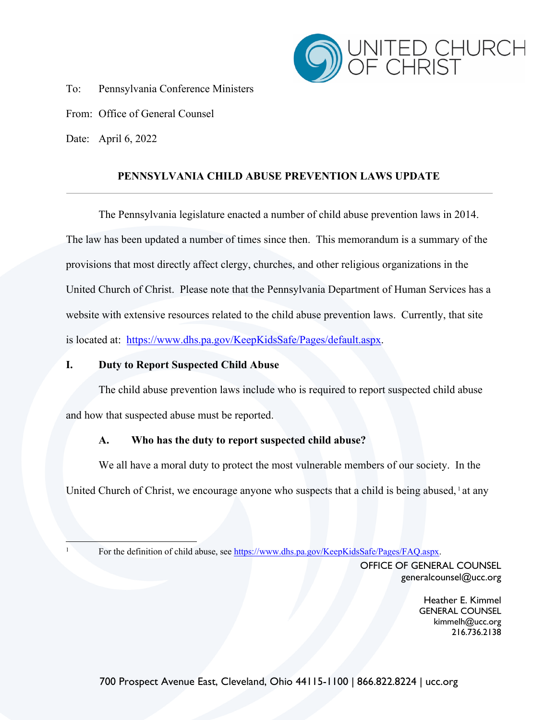

To: Pennsylvania Conference Ministers

From: Office of General Counsel

Date: April 6, 2022

# **PENNSYLVANIA CHILD ABUSE PREVENTION LAWS UPDATE**

The Pennsylvania legislature enacted a number of child abuse prevention laws in 2014. The law has been updated a number of times since then. This memorandum is a summary of the provisions that most directly affect clergy, churches, and other religious organizations in the United Church of Christ. Please note that the Pennsylvania Department of Human Services has a website with extensive resources related to the child abuse prevention laws. Currently, that site is located at: https://www.dhs.pa.gov/KeepKidsSafe/Pages/default.aspx.

## **I. Duty to Report Suspected Child Abuse**

The child abuse prevention laws include who is required to report suspected child abuse and how that suspected abuse must be reported.

## **A. Who has the duty to report suspected child abuse?**

We all have a moral duty to protect the most vulnerable members of our society. In the United Church of Christ, we encourage anyone who suspects that a child is being abused, <sup>1</sup> at any

<sup>1</sup> For the definition of child abuse, see https://www.dhs.pa.gov/KeepKidsSafe/Pages/FAQ.aspx.

OFFICE OF GENERAL COUNSEL generalcounsel@ucc.org

> Heather E. Kimmel GENERAL COUNSEL kimmelh@ucc.org 216.736.2138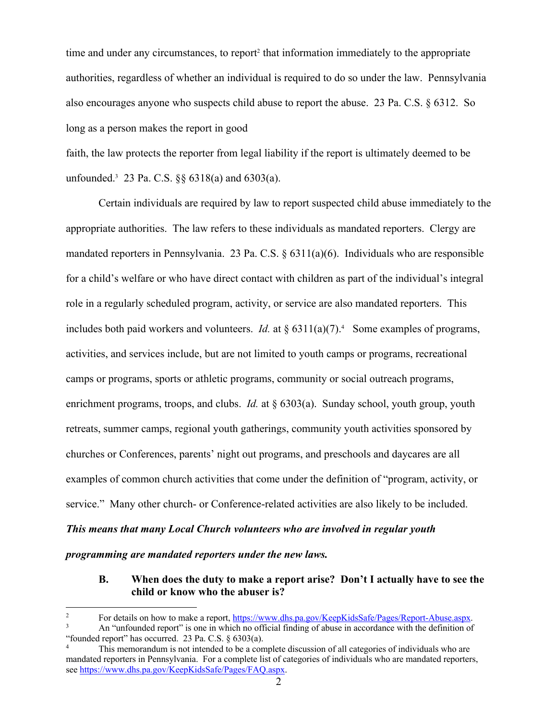time and under any circumstances, to report<sup>2</sup> that information immediately to the appropriate authorities, regardless of whether an individual is required to do so under the law. Pennsylvania also encourages anyone who suspects child abuse to report the abuse. 23 Pa. C.S. § 6312. So long as a person makes the report in good

faith, the law protects the reporter from legal liability if the report is ultimately deemed to be unfounded.3 23 Pa. C.S. §§ 6318(a) and 6303(a).

Certain individuals are required by law to report suspected child abuse immediately to the appropriate authorities. The law refers to these individuals as mandated reporters. Clergy are mandated reporters in Pennsylvania. 23 Pa. C.S. § 6311(a)(6). Individuals who are responsible for a child's welfare or who have direct contact with children as part of the individual's integral role in a regularly scheduled program, activity, or service are also mandated reporters. This includes both paid workers and volunteers. *Id.* at  $\S 6311(a)(7)$ .<sup>4</sup> Some examples of programs, activities, and services include, but are not limited to youth camps or programs, recreational camps or programs, sports or athletic programs, community or social outreach programs, enrichment programs, troops, and clubs. *Id.* at § 6303(a). Sunday school, youth group, youth retreats, summer camps, regional youth gatherings, community youth activities sponsored by churches or Conferences, parents' night out programs, and preschools and daycares are all examples of common church activities that come under the definition of "program, activity, or service." Many other church- or Conference-related activities are also likely to be included.

## *This means that many Local Church volunteers who are involved in regular youth*

*programming are mandated reporters under the new laws.*

## **B. When does the duty to make a report arise? Don't I actually have to see the child or know who the abuser is?**

<sup>&</sup>lt;sup>2</sup> For details on how to make a report,  $\frac{https://www.dhs.pa.gov/KeepKidsSafe/Pages/Report-Abuse.aspx}{An 'unfounded report' is one in which no official finding of abuse in accordance with the definition of$ 

<sup>&</sup>quot;founded report" has occurred. 23 Pa. C.S. § 6303(a).

This memorandum is not intended to be a complete discussion of all categories of individuals who are mandated reporters in Pennsylvania. For a complete list of categories of individuals who are mandated reporters, see https://www.dhs.pa.gov/KeepKidsSafe/Pages/FAQ.aspx.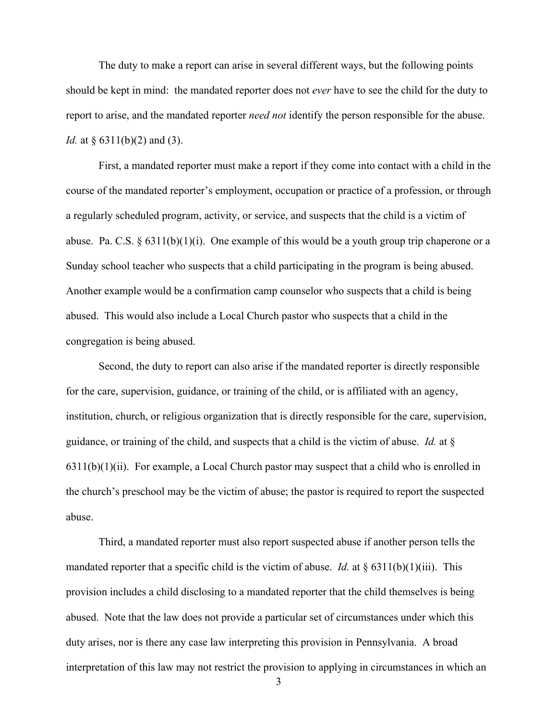The duty to make a report can arise in several different ways, but the following points should be kept in mind: the mandated reporter does not *ever* have to see the child for the duty to report to arise, and the mandated reporter *need not* identify the person responsible for the abuse. *Id.* at § 6311(b)(2) and (3).

First, a mandated reporter must make a report if they come into contact with a child in the course of the mandated reporter's employment, occupation or practice of a profession, or through a regularly scheduled program, activity, or service, and suspects that the child is a victim of abuse. Pa. C.S.  $\S 6311(b)(1)(i)$ . One example of this would be a youth group trip chaperone or a Sunday school teacher who suspects that a child participating in the program is being abused. Another example would be a confirmation camp counselor who suspects that a child is being abused. This would also include a Local Church pastor who suspects that a child in the congregation is being abused.

Second, the duty to report can also arise if the mandated reporter is directly responsible for the care, supervision, guidance, or training of the child, or is affiliated with an agency, institution, church, or religious organization that is directly responsible for the care, supervision, guidance, or training of the child, and suspects that a child is the victim of abuse. *Id.* at §  $6311(b)(1)(ii)$ . For example, a Local Church pastor may suspect that a child who is enrolled in the church's preschool may be the victim of abuse; the pastor is required to report the suspected abuse.

Third, a mandated reporter must also report suspected abuse if another person tells the mandated reporter that a specific child is the victim of abuse. *Id.* at  $\S 6311(b)(1)(iii)$ . This provision includes a child disclosing to a mandated reporter that the child themselves is being abused. Note that the law does not provide a particular set of circumstances under which this duty arises, nor is there any case law interpreting this provision in Pennsylvania. A broad interpretation of this law may not restrict the provision to applying in circumstances in which an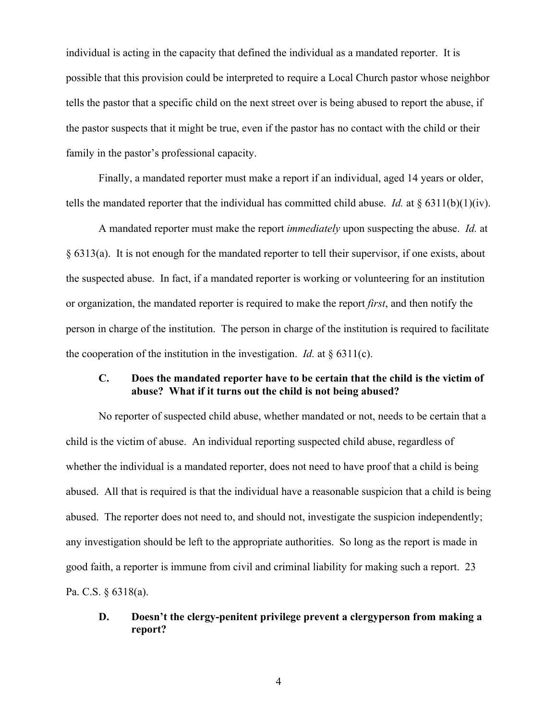individual is acting in the capacity that defined the individual as a mandated reporter. It is possible that this provision could be interpreted to require a Local Church pastor whose neighbor tells the pastor that a specific child on the next street over is being abused to report the abuse, if the pastor suspects that it might be true, even if the pastor has no contact with the child or their family in the pastor's professional capacity.

Finally, a mandated reporter must make a report if an individual, aged 14 years or older, tells the mandated reporter that the individual has committed child abuse. *Id.* at § 6311(b)(1)(iv).

A mandated reporter must make the report *immediately* upon suspecting the abuse. *Id.* at § 6313(a). It is not enough for the mandated reporter to tell their supervisor, if one exists, about the suspected abuse. In fact, if a mandated reporter is working or volunteering for an institution or organization, the mandated reporter is required to make the report *first*, and then notify the person in charge of the institution. The person in charge of the institution is required to facilitate the cooperation of the institution in the investigation. *Id.* at  $\S$  6311(c).

### **C. Does the mandated reporter have to be certain that the child is the victim of abuse? What if it turns out the child is not being abused?**

No reporter of suspected child abuse, whether mandated or not, needs to be certain that a child is the victim of abuse. An individual reporting suspected child abuse, regardless of whether the individual is a mandated reporter, does not need to have proof that a child is being abused. All that is required is that the individual have a reasonable suspicion that a child is being abused. The reporter does not need to, and should not, investigate the suspicion independently; any investigation should be left to the appropriate authorities. So long as the report is made in good faith, a reporter is immune from civil and criminal liability for making such a report. 23 Pa. C.S. § 6318(a).

## **D. Doesn't the clergy-penitent privilege prevent a clergyperson from making a report?**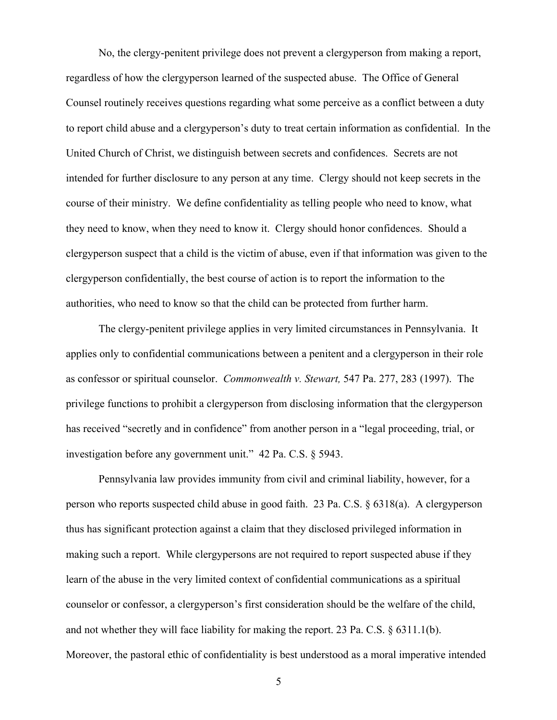No, the clergy-penitent privilege does not prevent a clergyperson from making a report, regardless of how the clergyperson learned of the suspected abuse. The Office of General Counsel routinely receives questions regarding what some perceive as a conflict between a duty to report child abuse and a clergyperson's duty to treat certain information as confidential. In the United Church of Christ, we distinguish between secrets and confidences. Secrets are not intended for further disclosure to any person at any time. Clergy should not keep secrets in the course of their ministry. We define confidentiality as telling people who need to know, what they need to know, when they need to know it. Clergy should honor confidences. Should a clergyperson suspect that a child is the victim of abuse, even if that information was given to the clergyperson confidentially, the best course of action is to report the information to the authorities, who need to know so that the child can be protected from further harm.

The clergy-penitent privilege applies in very limited circumstances in Pennsylvania. It applies only to confidential communications between a penitent and a clergyperson in their role as confessor or spiritual counselor. *Commonwealth v. Stewart,* 547 Pa. 277, 283 (1997). The privilege functions to prohibit a clergyperson from disclosing information that the clergyperson has received "secretly and in confidence" from another person in a "legal proceeding, trial, or investigation before any government unit." 42 Pa. C.S. § 5943.

Pennsylvania law provides immunity from civil and criminal liability, however, for a person who reports suspected child abuse in good faith. 23 Pa. C.S. § 6318(a). A clergyperson thus has significant protection against a claim that they disclosed privileged information in making such a report. While clergypersons are not required to report suspected abuse if they learn of the abuse in the very limited context of confidential communications as a spiritual counselor or confessor, a clergyperson's first consideration should be the welfare of the child, and not whether they will face liability for making the report. 23 Pa. C.S. § 6311.1(b). Moreover, the pastoral ethic of confidentiality is best understood as a moral imperative intended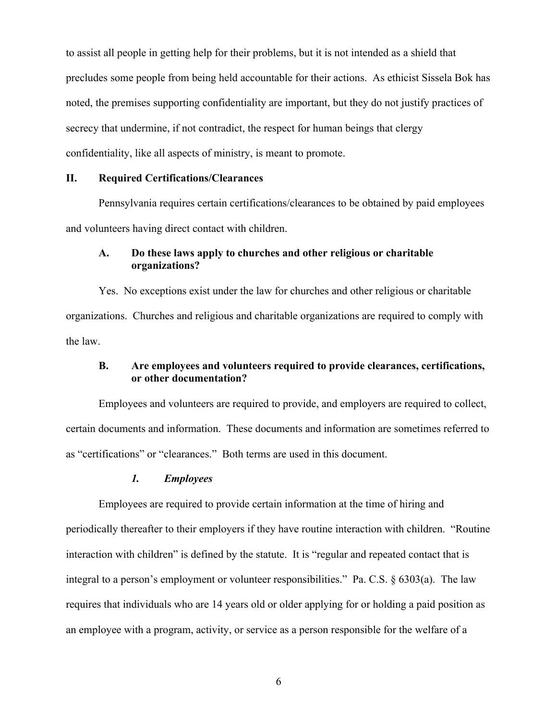to assist all people in getting help for their problems, but it is not intended as a shield that precludes some people from being held accountable for their actions. As ethicist Sissela Bok has noted, the premises supporting confidentiality are important, but they do not justify practices of secrecy that undermine, if not contradict, the respect for human beings that clergy confidentiality, like all aspects of ministry, is meant to promote.

#### **II. Required Certifications/Clearances**

Pennsylvania requires certain certifications/clearances to be obtained by paid employees and volunteers having direct contact with children.

### **A. Do these laws apply to churches and other religious or charitable organizations?**

Yes. No exceptions exist under the law for churches and other religious or charitable organizations. Churches and religious and charitable organizations are required to comply with the law.

## **B. Are employees and volunteers required to provide clearances, certifications, or other documentation?**

Employees and volunteers are required to provide, and employers are required to collect, certain documents and information. These documents and information are sometimes referred to as "certifications" or "clearances." Both terms are used in this document.

#### *1. Employees*

Employees are required to provide certain information at the time of hiring and periodically thereafter to their employers if they have routine interaction with children. "Routine interaction with children" is defined by the statute. It is "regular and repeated contact that is integral to a person's employment or volunteer responsibilities." Pa. C.S. § 6303(a). The law requires that individuals who are 14 years old or older applying for or holding a paid position as an employee with a program, activity, or service as a person responsible for the welfare of a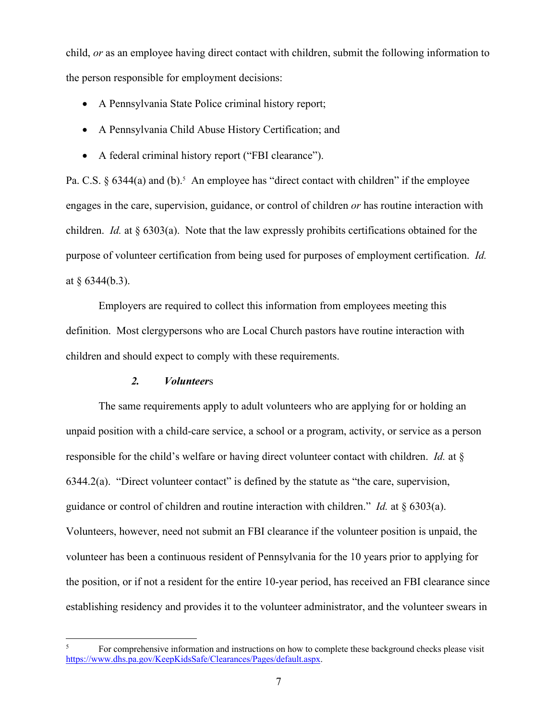child, *or* as an employee having direct contact with children, submit the following information to the person responsible for employment decisions:

- A Pennsylvania State Police criminal history report;
- A Pennsylvania Child Abuse History Certification; and
- A federal criminal history report ("FBI clearance").

Pa. C.S.  $\S$  6344(a) and (b).<sup>5</sup> An employee has "direct contact with children" if the employee engages in the care, supervision, guidance, or control of children *or* has routine interaction with children. *Id.* at § 6303(a). Note that the law expressly prohibits certifications obtained for the purpose of volunteer certification from being used for purposes of employment certification. *Id.* at § 6344(b.3).

Employers are required to collect this information from employees meeting this definition. Most clergypersons who are Local Church pastors have routine interaction with children and should expect to comply with these requirements.

## *2. Volunteer*s

The same requirements apply to adult volunteers who are applying for or holding an unpaid position with a child-care service, a school or a program, activity, or service as a person responsible for the child's welfare or having direct volunteer contact with children. *Id.* at § 6344.2(a). "Direct volunteer contact" is defined by the statute as "the care, supervision, guidance or control of children and routine interaction with children." *Id.* at § 6303(a). Volunteers, however, need not submit an FBI clearance if the volunteer position is unpaid, the volunteer has been a continuous resident of Pennsylvania for the 10 years prior to applying for the position, or if not a resident for the entire 10-year period, has received an FBI clearance since establishing residency and provides it to the volunteer administrator, and the volunteer swears in

<sup>5</sup> For comprehensive information and instructions on how to complete these background checks please visit https://www.dhs.pa.gov/KeepKidsSafe/Clearances/Pages/default.aspx.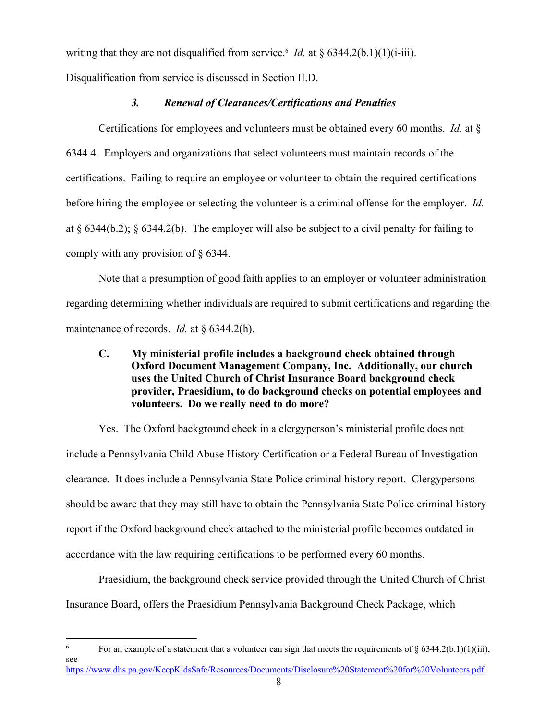writing that they are not disqualified from service.<sup>6</sup> *Id.* at  $\S 6344.2(b.1)(1)(i-iii)$ .

Disqualification from service is discussed in Section II.D.

# *3. Renewal of Clearances/Certifications and Penalties*

Certifications for employees and volunteers must be obtained every 60 months. *Id.* at § 6344.4. Employers and organizations that select volunteers must maintain records of the certifications. Failing to require an employee or volunteer to obtain the required certifications before hiring the employee or selecting the volunteer is a criminal offense for the employer. *Id.* at § 6344(b.2); § 6344.2(b). The employer will also be subject to a civil penalty for failing to comply with any provision of § 6344.

Note that a presumption of good faith applies to an employer or volunteer administration regarding determining whether individuals are required to submit certifications and regarding the maintenance of records. *Id.* at § 6344.2(h).

**C. My ministerial profile includes a background check obtained through Oxford Document Management Company, Inc. Additionally, our church uses the United Church of Christ Insurance Board background check provider, Praesidium, to do background checks on potential employees and volunteers. Do we really need to do more?**

Yes. The Oxford background check in a clergyperson's ministerial profile does not include a Pennsylvania Child Abuse History Certification or a Federal Bureau of Investigation clearance. It does include a Pennsylvania State Police criminal history report. Clergypersons should be aware that they may still have to obtain the Pennsylvania State Police criminal history report if the Oxford background check attached to the ministerial profile becomes outdated in accordance with the law requiring certifications to be performed every 60 months.

Praesidium, the background check service provided through the United Church of Christ Insurance Board, offers the Praesidium Pennsylvania Background Check Package, which

<sup>&</sup>lt;sup>6</sup> For an example of a statement that a volunteer can sign that meets the requirements of  $\S 6344.2(b.1)(1)(iii)$ , see https://www.dhs.pa.gov/KeepKidsSafe/Resources/Documents/Disclosure%20Statement%20for%20Volunteers.pdf.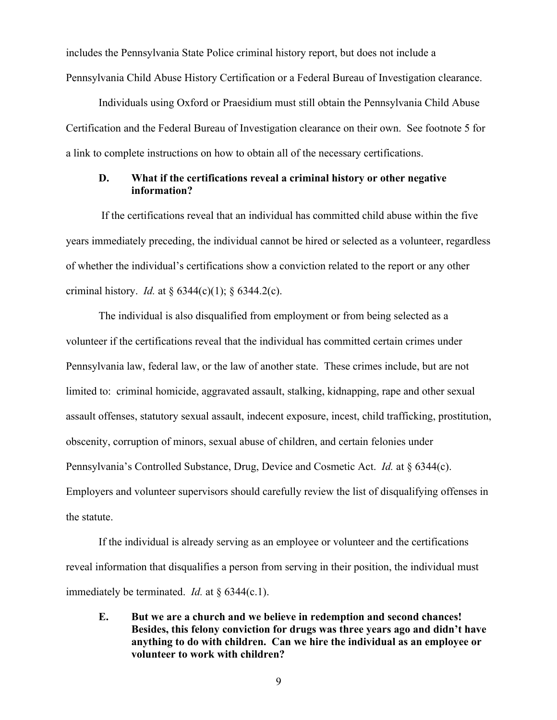includes the Pennsylvania State Police criminal history report, but does not include a Pennsylvania Child Abuse History Certification or a Federal Bureau of Investigation clearance.

Individuals using Oxford or Praesidium must still obtain the Pennsylvania Child Abuse Certification and the Federal Bureau of Investigation clearance on their own. See footnote 5 for a link to complete instructions on how to obtain all of the necessary certifications.

## **D. What if the certifications reveal a criminal history or other negative information?**

If the certifications reveal that an individual has committed child abuse within the five years immediately preceding, the individual cannot be hired or selected as a volunteer, regardless of whether the individual's certifications show a conviction related to the report or any other criminal history. *Id.* at  $\S 6344(c)(1)$ ;  $\S 6344.2(c)$ .

The individual is also disqualified from employment or from being selected as a volunteer if the certifications reveal that the individual has committed certain crimes under Pennsylvania law, federal law, or the law of another state. These crimes include, but are not limited to: criminal homicide, aggravated assault, stalking, kidnapping, rape and other sexual assault offenses, statutory sexual assault, indecent exposure, incest, child trafficking, prostitution, obscenity, corruption of minors, sexual abuse of children, and certain felonies under Pennsylvania's Controlled Substance, Drug, Device and Cosmetic Act. *Id.* at § 6344(c). Employers and volunteer supervisors should carefully review the list of disqualifying offenses in the statute.

If the individual is already serving as an employee or volunteer and the certifications reveal information that disqualifies a person from serving in their position, the individual must immediately be terminated. *Id.* at § 6344(c.1).

**E. But we are a church and we believe in redemption and second chances! Besides, this felony conviction for drugs was three years ago and didn't have anything to do with children. Can we hire the individual as an employee or volunteer to work with children?**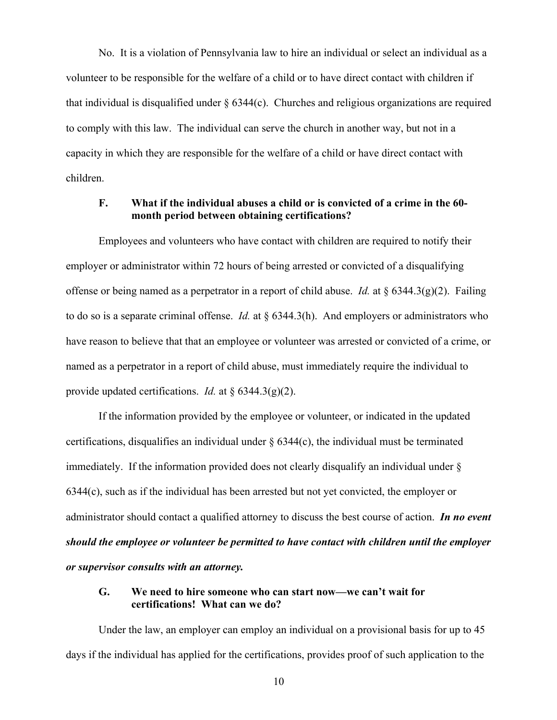No. It is a violation of Pennsylvania law to hire an individual or select an individual as a volunteer to be responsible for the welfare of a child or to have direct contact with children if that individual is disqualified under  $\S 6344(c)$ . Churches and religious organizations are required to comply with this law. The individual can serve the church in another way, but not in a capacity in which they are responsible for the welfare of a child or have direct contact with children.

## **F. What if the individual abuses a child or is convicted of a crime in the 60 month period between obtaining certifications?**

Employees and volunteers who have contact with children are required to notify their employer or administrator within 72 hours of being arrested or convicted of a disqualifying offense or being named as a perpetrator in a report of child abuse. *Id.* at  $\frac{6344.3(g)(2)}{2}$ . Failing to do so is a separate criminal offense. *Id.* at § 6344.3(h). And employers or administrators who have reason to believe that that an employee or volunteer was arrested or convicted of a crime, or named as a perpetrator in a report of child abuse, must immediately require the individual to provide updated certifications. *Id.* at § 6344.3(g)(2).

If the information provided by the employee or volunteer, or indicated in the updated certifications, disqualifies an individual under  $\S$  6344(c), the individual must be terminated immediately. If the information provided does not clearly disqualify an individual under § 6344(c), such as if the individual has been arrested but not yet convicted, the employer or administrator should contact a qualified attorney to discuss the best course of action. *In no event should the employee or volunteer be permitted to have contact with children until the employer or supervisor consults with an attorney.*

## **G. We need to hire someone who can start now—we can't wait for certifications! What can we do?**

Under the law, an employer can employ an individual on a provisional basis for up to 45 days if the individual has applied for the certifications, provides proof of such application to the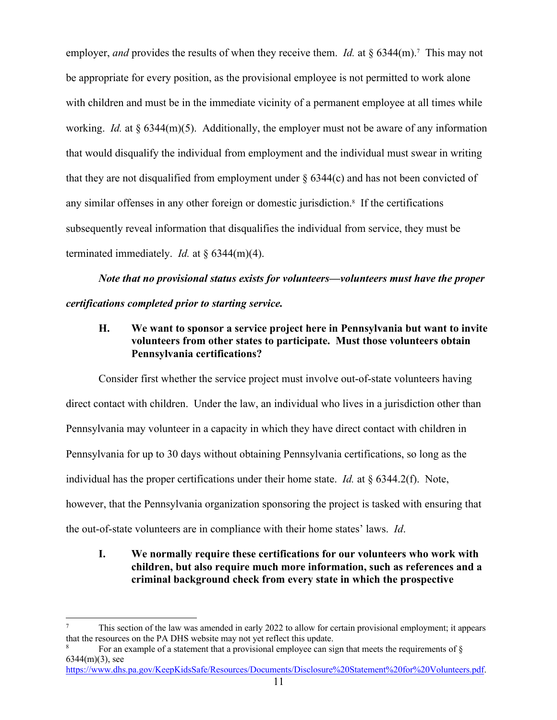employer, *and* provides the results of when they receive them. *Id.* at § 6344(m).<sup>7</sup> This may not be appropriate for every position, as the provisional employee is not permitted to work alone with children and must be in the immediate vicinity of a permanent employee at all times while working. *Id.* at § 6344(m)(5). Additionally, the employer must not be aware of any information that would disqualify the individual from employment and the individual must swear in writing that they are not disqualified from employment under  $\S$  6344(c) and has not been convicted of any similar offenses in any other foreign or domestic jurisdiction.<sup>8</sup> If the certifications subsequently reveal information that disqualifies the individual from service, they must be terminated immediately. *Id.* at § 6344(m)(4).

*Note that no provisional status exists for volunteers—volunteers must have the proper certifications completed prior to starting service.* 

# **H. We want to sponsor a service project here in Pennsylvania but want to invite volunteers from other states to participate. Must those volunteers obtain Pennsylvania certifications?**

Consider first whether the service project must involve out-of-state volunteers having direct contact with children. Under the law, an individual who lives in a jurisdiction other than Pennsylvania may volunteer in a capacity in which they have direct contact with children in Pennsylvania for up to 30 days without obtaining Pennsylvania certifications, so long as the individual has the proper certifications under their home state. *Id.* at § 6344.2(f). Note, however, that the Pennsylvania organization sponsoring the project is tasked with ensuring that the out-of-state volunteers are in compliance with their home states' laws. *Id*.

**I. We normally require these certifications for our volunteers who work with children, but also require much more information, such as references and a criminal background check from every state in which the prospective** 

<sup>7</sup> This section of the law was amended in early 2022 to allow for certain provisional employment; it appears that the resources on the PA DHS website may not yet reflect this update.

For an example of a statement that a provisional employee can sign that meets the requirements of  $\delta$ 6344(m)(3), see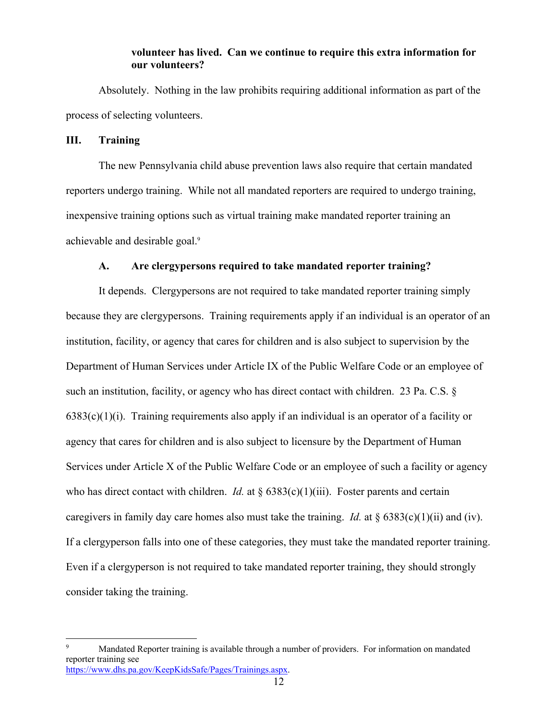#### **volunteer has lived. Can we continue to require this extra information for our volunteers?**

Absolutely. Nothing in the law prohibits requiring additional information as part of the process of selecting volunteers.

## **III. Training**

The new Pennsylvania child abuse prevention laws also require that certain mandated reporters undergo training. While not all mandated reporters are required to undergo training, inexpensive training options such as virtual training make mandated reporter training an achievable and desirable goal.<sup>9</sup>

## **A. Are clergypersons required to take mandated reporter training?**

It depends. Clergypersons are not required to take mandated reporter training simply because they are clergypersons. Training requirements apply if an individual is an operator of an institution, facility, or agency that cares for children and is also subject to supervision by the Department of Human Services under Article IX of the Public Welfare Code or an employee of such an institution, facility, or agency who has direct contact with children. 23 Pa. C.S. §  $6383(c)(1)(i)$ . Training requirements also apply if an individual is an operator of a facility or agency that cares for children and is also subject to licensure by the Department of Human Services under Article X of the Public Welfare Code or an employee of such a facility or agency who has direct contact with children. *Id.* at  $\S 6383(c)(1)(iii)$ . Foster parents and certain caregivers in family day care homes also must take the training. *Id.* at § 6383(c)(1)(ii) and (iv). If a clergyperson falls into one of these categories, they must take the mandated reporter training. Even if a clergyperson is not required to take mandated reporter training, they should strongly consider taking the training.

Mandated Reporter training is available through a number of providers. For information on mandated reporter training see https://www.dhs.pa.gov/KeepKidsSafe/Pages/Trainings.aspx.